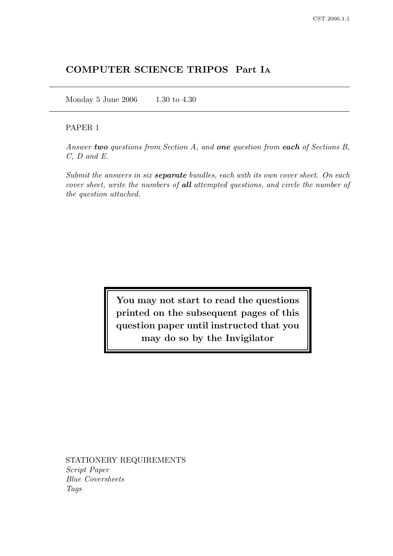# COMPUTER SCIENCE TRIPOS Part I<sup>A</sup>

Monday 5 June 2006 1.30 to 4.30

## PAPER 1

Answer two questions from Section A, and one question from each of Sections B, C, D and E.

Submit the answers in six **separate** bundles, each with its own cover sheet. On each cover sheet, write the numbers of all attempted questions, and circle the number of the question attached.

> You may not start to read the questions printed on the subsequent pages of this question paper until instructed that you may do so by the Invigilator

STATIONERY REQUIREMENTS Script Paper Blue Coversheets Tags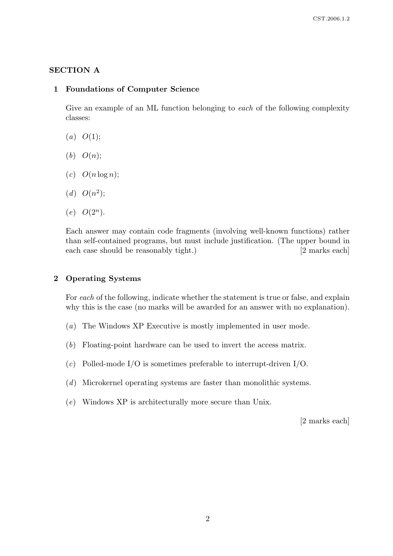### SECTION A

#### 1 Foundations of Computer Science

Give an example of an ML function belonging to each of the following complexity classes:

- $(a)$   $O(1)$ ;
- $(b)$   $O(n)$ ;
- $(c)$   $O(n \log n);$
- (*d*)  $O(n^2);$
- $(e)$   $O(2^n)$ .

Each answer may contain code fragments (involving well-known functions) rather than self-contained programs, but must include justification. (The upper bound in each case should be reasonably tight.) [2 marks each]

## 2 Operating Systems

For each of the following, indicate whether the statement is true or false, and explain why this is the case (no marks will be awarded for an answer with no explanation).

- (a) The Windows XP Executive is mostly implemented in user mode.
- (b) Floating-point hardware can be used to invert the access matrix.
- (c) Polled-mode I/O is sometimes preferable to interrupt-driven I/O.
- (d) Microkernel operating systems are faster than monolithic systems.
- (e) Windows XP is architecturally more secure than Unix.

[2 marks each]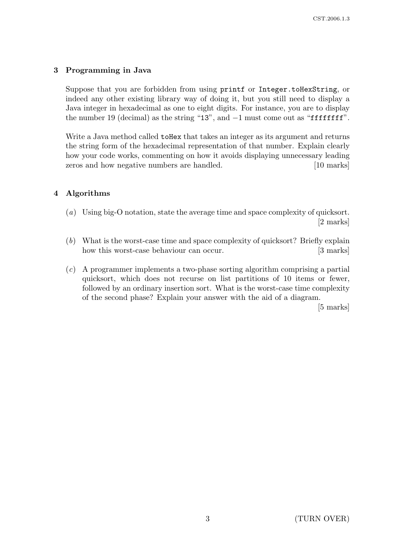# 3 Programming in Java

Suppose that you are forbidden from using printf or Integer.toHexString, or indeed any other existing library way of doing it, but you still need to display a Java integer in hexadecimal as one to eight digits. For instance, you are to display the number 19 (decimal) as the string "13", and −1 must come out as "ffffffff".

Write a Java method called **toHex** that takes an integer as its argument and returns the string form of the hexadecimal representation of that number. Explain clearly how your code works, commenting on how it avoids displaying unnecessary leading zeros and how negative numbers are handled. [10 marks]

# 4 Algorithms

- (a) Using big-O notation, state the average time and space complexity of quicksort. [2 marks]
- (b) What is the worst-case time and space complexity of quicksort? Briefly explain how this worst-case behaviour can occur. [3 marks]
- (c) A programmer implements a two-phase sorting algorithm comprising a partial quicksort, which does not recurse on list partitions of 10 items or fewer, followed by an ordinary insertion sort. What is the worst-case time complexity of the second phase? Explain your answer with the aid of a diagram.

[5 marks]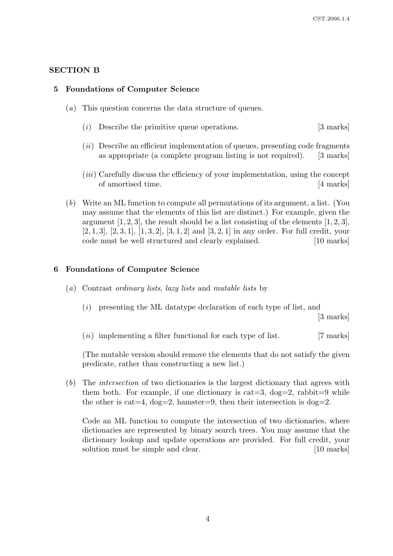# SECTION B

## 5 Foundations of Computer Science

- (a) This question concerns the data structure of queues.
	- (i) Describe the primitive queue operations. [3 marks]
	- $(ii)$  Describe an efficient implementation of queues, presenting code fragments as appropriate (a complete program listing is not required). [3 marks]
	- (iii) Carefully discuss the efficiency of your implementation, using the concept of amortised time. [4 marks]
- (b) Write an ML function to compute all permutations of its argument, a list. (You may assume that the elements of this list are distinct.) For example, given the argument  $[1, 2, 3]$ , the result should be a list consisting of the elements  $[1, 2, 3]$ ,  $[2, 1, 3]$ ,  $[2, 3, 1]$ ,  $[1, 3, 2]$ ,  $[3, 1, 2]$  and  $[3, 2, 1]$  in any order. For full credit, your code must be well structured and clearly explained. [10 marks]

## 6 Foundations of Computer Science

- (a) Contrast ordinary lists, lazy lists and mutable lists by
	- $(i)$  presenting the ML datatype declaration of each type of list, and

[3 marks]

 $(ii)$  implementing a filter functional for each type of list. [7 marks]

(The mutable version should remove the elements that do not satisfy the given predicate, rather than constructing a new list.)

(b) The intersection of two dictionaries is the largest dictionary that agrees with them both. For example, if one dictionary is cat = 3,  $\text{dog}=2$ , rabbit = 9 while the other is cat = 4,  $\text{dog}=2$ , hamster = 9, then their intersection is  $\text{dog}=2$ .

Code an ML function to compute the intersection of two dictionaries, where dictionaries are represented by binary search trees. You may assume that the dictionary lookup and update operations are provided. For full credit, your solution must be simple and clear. [10 marks]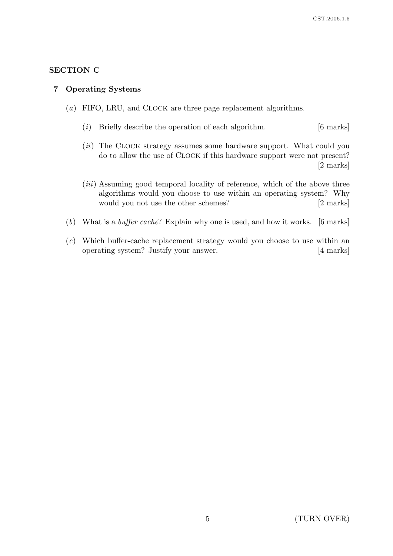# SECTION C

### 7 Operating Systems

- (a) FIFO, LRU, and CLOCK are three page replacement algorithms.
	- (i) Briefly describe the operation of each algorithm.  $[6 \text{ marks}]$
	- (ii) The CLOCK strategy assumes some hardware support. What could you do to allow the use of CLOCK if this hardware support were not present? [2 marks]
	- (*iii*) Assuming good temporal locality of reference, which of the above three algorithms would you choose to use within an operating system? Why would you not use the other schemes? [2 marks]
- (b) What is a buffer cache? Explain why one is used, and how it works. [6 marks]
- (c) Which buffer-cache replacement strategy would you choose to use within an operating system? Justify your answer. [4 marks]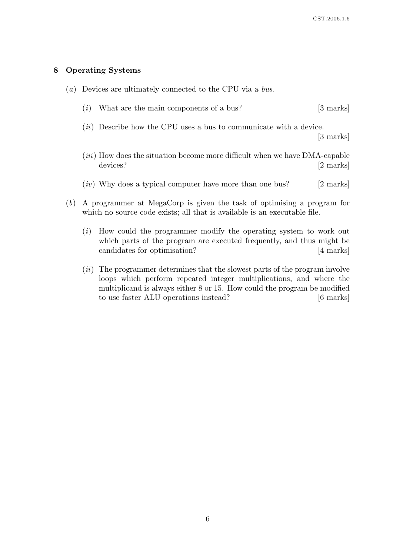#### 8 Operating Systems

- (a) Devices are ultimately connected to the CPU via a bus.
	- (i) What are the main components of a bus?  $[3 \text{ marks}]$
	- (*ii*) Describe how the CPU uses a bus to communicate with a device.

[3 marks]

- (iii) How does the situation become more difficult when we have DMA-capable devices? [2 marks]
- $(iv)$  Why does a typical computer have more than one bus? [2 marks]
- (b) A programmer at MegaCorp is given the task of optimising a program for which no source code exists; all that is available is an executable file.
	- (i) How could the programmer modify the operating system to work out which parts of the program are executed frequently, and thus might be candidates for optimisation? [4 marks]
	- $(ii)$  The programmer determines that the slowest parts of the program involve loops which perform repeated integer multiplications, and where the multiplicand is always either 8 or 15. How could the program be modified to use faster ALU operations instead? [6 marks]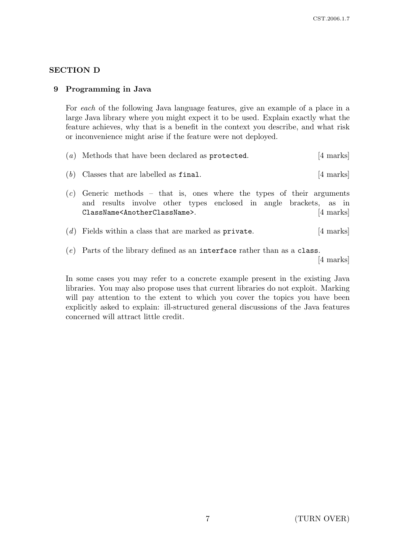# SECTION D

# 9 Programming in Java

For each of the following Java language features, give an example of a place in a large Java library where you might expect it to be used. Explain exactly what the feature achieves, why that is a benefit in the context you describe, and what risk or inconvenience might arise if the feature were not deployed.

|  | $(a)$ Methods that have been declared as protected. |  |  |  | [4 marks] |  |
|--|-----------------------------------------------------|--|--|--|-----------|--|
|--|-----------------------------------------------------|--|--|--|-----------|--|

- (b) Classes that are labelled as  $\text{final.}$  [4 marks]
- $(c)$  Generic methods that is, ones where the types of their arguments and results involve other types enclosed in angle brackets, as in ClassName<AnotherClassName>. [4 marks]
- (d) Fields within a class that are marked as private. [4 marks]
- (e) Parts of the library defined as an interface rather than as a class.

[4 marks]

In some cases you may refer to a concrete example present in the existing Java libraries. You may also propose uses that current libraries do not exploit. Marking will pay attention to the extent to which you cover the topics you have been explicitly asked to explain: ill-structured general discussions of the Java features concerned will attract little credit.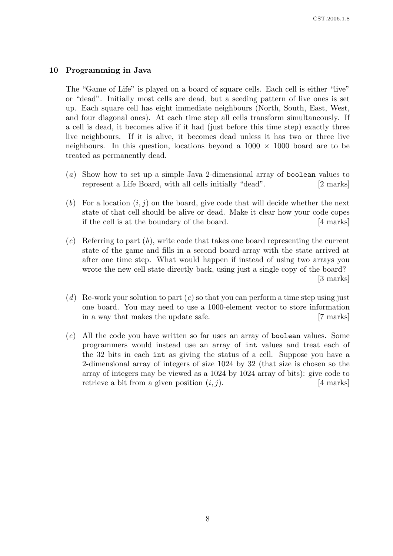### 10 Programming in Java

The "Game of Life" is played on a board of square cells. Each cell is either "live" or "dead". Initially most cells are dead, but a seeding pattern of live ones is set up. Each square cell has eight immediate neighbours (North, South, East, West, and four diagonal ones). At each time step all cells transform simultaneously. If a cell is dead, it becomes alive if it had (just before this time step) exactly three live neighbours. If it is alive, it becomes dead unless it has two or three live neighbours. In this question, locations beyond a  $1000 \times 1000$  board are to be treated as permanently dead.

- (a) Show how to set up a simple Java 2-dimensional array of boolean values to represent a Life Board, with all cells initially "dead". [2 marks]
- (b) For a location  $(i, j)$  on the board, give code that will decide whether the next state of that cell should be alive or dead. Make it clear how your code copes if the cell is at the boundary of the board. [4 marks]
- $(c)$  Referring to part  $(b)$ , write code that takes one board representing the current state of the game and fills in a second board-array with the state arrived at after one time step. What would happen if instead of using two arrays you wrote the new cell state directly back, using just a single copy of the board? [3 marks]
- (d) Re-work your solution to part  $(c)$  so that you can perform a time step using just one board. You may need to use a 1000-element vector to store information in a way that makes the update safe. [7 marks]
- (e) All the code you have written so far uses an array of boolean values. Some programmers would instead use an array of int values and treat each of the 32 bits in each int as giving the status of a cell. Suppose you have a 2-dimensional array of integers of size 1024 by 32 (that size is chosen so the array of integers may be viewed as a 1024 by 1024 array of bits): give code to retrieve a bit from a given position  $(i, j)$ . [4 marks]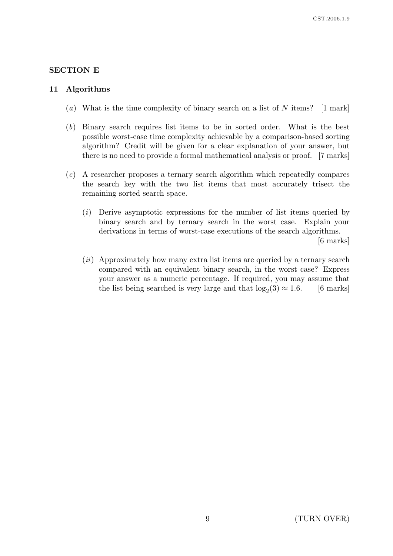# SECTION E

### 11 Algorithms

- (a) What is the time complexity of binary search on a list of N items? [1 mark]
- (b) Binary search requires list items to be in sorted order. What is the best possible worst-case time complexity achievable by a comparison-based sorting algorithm? Credit will be given for a clear explanation of your answer, but there is no need to provide a formal mathematical analysis or proof. [7 marks]
- (c) A researcher proposes a ternary search algorithm which repeatedly compares the search key with the two list items that most accurately trisect the remaining sorted search space.
	- $(i)$  Derive asymptotic expressions for the number of list items queried by binary search and by ternary search in the worst case. Explain your derivations in terms of worst-case executions of the search algorithms. [6 marks]
	- (ii) Approximately how many extra list items are queried by a ternary search compared with an equivalent binary search, in the worst case? Express your answer as a numeric percentage. If required, you may assume that the list being searched is very large and that  $log_2(3) \approx 1.6$ . [6 marks]